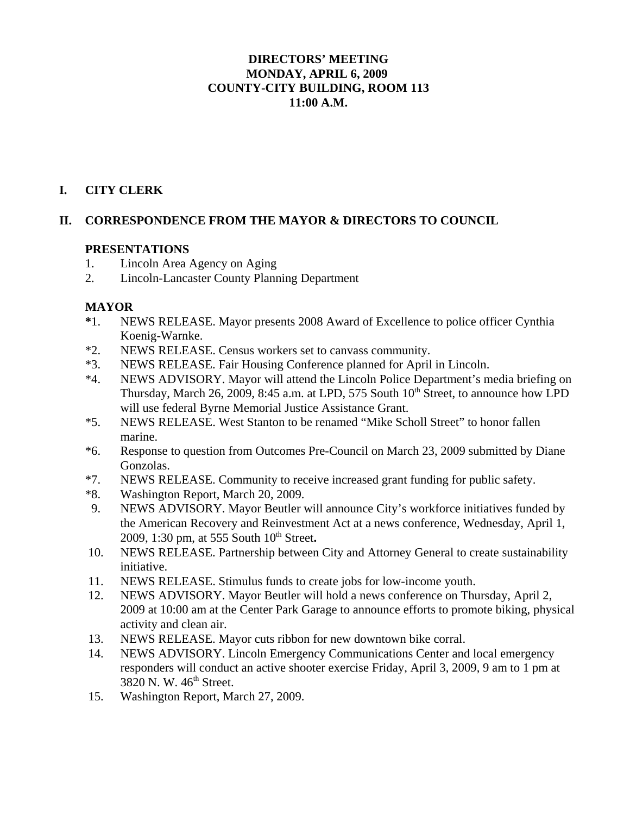## **DIRECTORS' MEETING MONDAY, APRIL 6, 2009 COUNTY-CITY BUILDING, ROOM 113 11:00 A.M.**

## **I. CITY CLERK**

#### **II. CORRESPONDENCE FROM THE MAYOR & DIRECTORS TO COUNCIL**

#### **PRESENTATIONS**

- 1. Lincoln Area Agency on Aging
- 2. Lincoln-Lancaster County Planning Department

#### **MAYOR**

- **\***1. NEWS RELEASE. Mayor presents 2008 Award of Excellence to police officer Cynthia Koenig-Warnke.
- \*2. NEWS RELEASE. Census workers set to canvass community.
- \*3. NEWS RELEASE. Fair Housing Conference planned for April in Lincoln.
- \*4. NEWS ADVISORY. Mayor will attend the Lincoln Police Department's media briefing on Thursday, March 26, 2009, 8:45 a.m. at LPD, 575 South  $10<sup>th</sup>$  Street, to announce how LPD will use federal Byrne Memorial Justice Assistance Grant.
- \*5. NEWS RELEASE. West Stanton to be renamed "Mike Scholl Street" to honor fallen marine.
- \*6. Response to question from Outcomes Pre-Council on March 23, 2009 submitted by Diane Gonzolas.
- \*7. NEWS RELEASE. Community to receive increased grant funding for public safety.
- \*8. Washington Report, March 20, 2009.
- 9. NEWS ADVISORY. Mayor Beutler will announce City's workforce initiatives funded by the American Recovery and Reinvestment Act at a news conference, Wednesday, April 1, 2009, 1:30 pm, at 555 South 10<sup>th</sup> Street.
- 10. NEWS RELEASE. Partnership between City and Attorney General to create sustainability initiative.
- 11. NEWS RELEASE. Stimulus funds to create jobs for low-income youth.
- 12. NEWS ADVISORY. Mayor Beutler will hold a news conference on Thursday, April 2, 2009 at 10:00 am at the Center Park Garage to announce efforts to promote biking, physical activity and clean air.
- 13. NEWS RELEASE. Mayor cuts ribbon for new downtown bike corral.
- 14. NEWS ADVISORY. Lincoln Emergency Communications Center and local emergency responders will conduct an active shooter exercise Friday, April 3, 2009, 9 am to 1 pm at 3820 N. W. 46<sup>th</sup> Street.
- 15. Washington Report, March 27, 2009.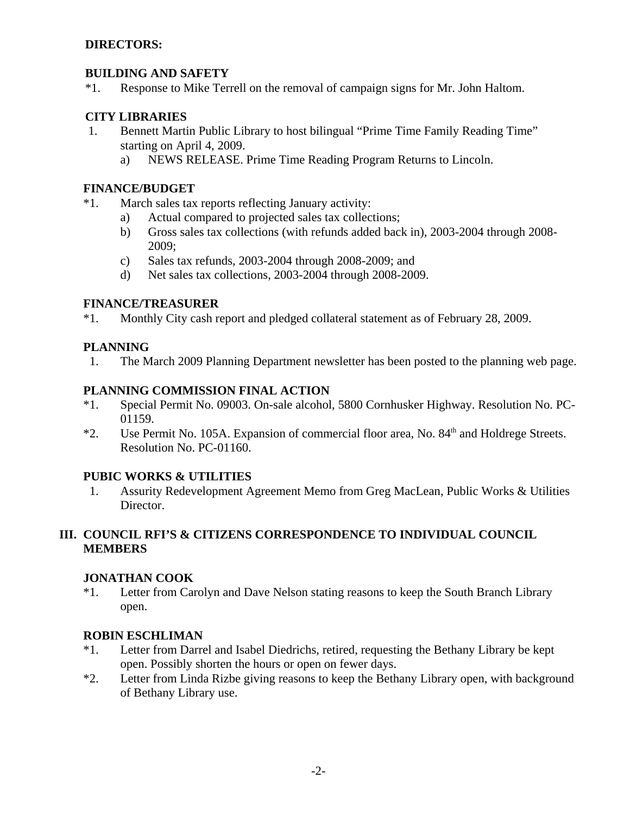#### **DIRECTORS:**

#### **BUILDING AND SAFETY**

\*1. Response to Mike Terrell on the removal of campaign signs for Mr. John Haltom.

#### **CITY LIBRARIES**

- 1. Bennett Martin Public Library to host bilingual "Prime Time Family Reading Time" starting on April 4, 2009.
	- a) NEWS RELEASE. Prime Time Reading Program Returns to Lincoln.

#### **FINANCE/BUDGET**

- \*1. March sales tax reports reflecting January activity:
	- a) Actual compared to projected sales tax collections;
	- b) Gross sales tax collections (with refunds added back in), 2003-2004 through 2008- 2009;
	- c) Sales tax refunds, 2003-2004 through 2008-2009; and
	- d) Net sales tax collections, 2003-2004 through 2008-2009.

#### **FINANCE/TREASURER**

\*1. Monthly City cash report and pledged collateral statement as of February 28, 2009.

#### **PLANNING**

1. The March 2009 Planning Department newsletter has been posted to the planning web page.

#### **PLANNING COMMISSION FINAL ACTION**

- \*1. Special Permit No. 09003. On-sale alcohol, 5800 Cornhusker Highway. Resolution No. PC-01159.
- \*2. Use Permit No. 105A. Expansion of commercial floor area, No. 84<sup>th</sup> and Holdrege Streets. Resolution No. PC-01160.

#### **PUBIC WORKS & UTILITIES**

 1. Assurity Redevelopment Agreement Memo from Greg MacLean, Public Works & Utilities Director.

## **III. COUNCIL RFI'S & CITIZENS CORRESPONDENCE TO INDIVIDUAL COUNCIL MEMBERS**

#### **JONATHAN COOK**

\*1. Letter from Carolyn and Dave Nelson stating reasons to keep the South Branch Library open.

#### **ROBIN ESCHLIMAN**

- \*1. Letter from Darrel and Isabel Diedrichs, retired, requesting the Bethany Library be kept open. Possibly shorten the hours or open on fewer days.
- \*2. Letter from Linda Rizbe giving reasons to keep the Bethany Library open, with background of Bethany Library use.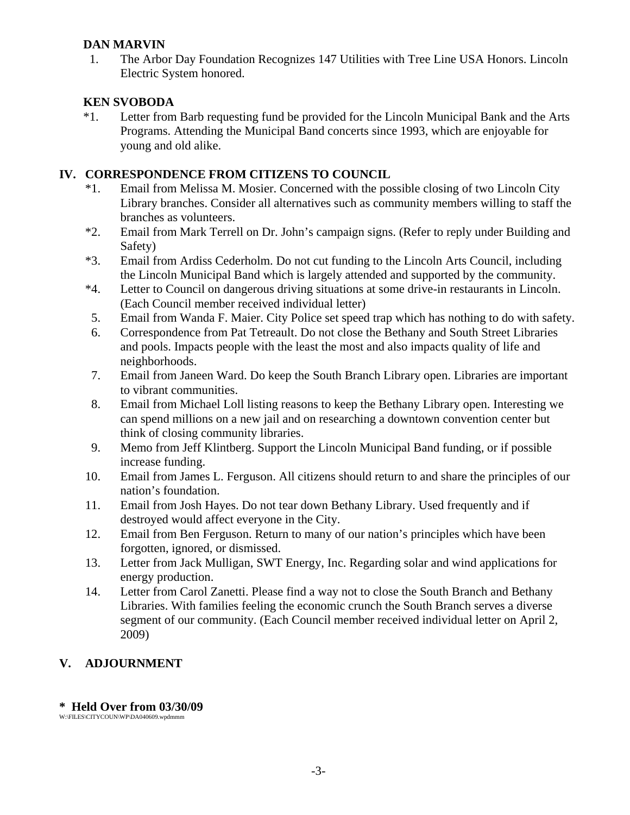## **DAN MARVIN**

 1. The Arbor Day Foundation Recognizes 147 Utilities with Tree Line USA Honors. Lincoln Electric System honored.

## **KEN SVOBODA**

\*1. Letter from Barb requesting fund be provided for the Lincoln Municipal Bank and the Arts Programs. Attending the Municipal Band concerts since 1993, which are enjoyable for young and old alike.

## **IV. CORRESPONDENCE FROM CITIZENS TO COUNCIL**

- \*1. Email from Melissa M. Mosier. Concerned with the possible closing of two Lincoln City Library branches. Consider all alternatives such as community members willing to staff the branches as volunteers.
- \*2. Email from Mark Terrell on Dr. John's campaign signs. (Refer to reply under Building and Safety)
- \*3. Email from Ardiss Cederholm. Do not cut funding to the Lincoln Arts Council, including the Lincoln Municipal Band which is largely attended and supported by the community.
- \*4. Letter to Council on dangerous driving situations at some drive-in restaurants in Lincoln. (Each Council member received individual letter)
- 5. Email from Wanda F. Maier. City Police set speed trap which has nothing to do with safety.
- 6. Correspondence from Pat Tetreault. Do not close the Bethany and South Street Libraries and pools. Impacts people with the least the most and also impacts quality of life and neighborhoods.
- 7. Email from Janeen Ward. Do keep the South Branch Library open. Libraries are important to vibrant communities.
- 8. Email from Michael Loll listing reasons to keep the Bethany Library open. Interesting we can spend millions on a new jail and on researching a downtown convention center but think of closing community libraries.
- 9. Memo from Jeff Klintberg. Support the Lincoln Municipal Band funding, or if possible increase funding.
- 10. Email from James L. Ferguson. All citizens should return to and share the principles of our nation's foundation.
- 11. Email from Josh Hayes. Do not tear down Bethany Library. Used frequently and if destroyed would affect everyone in the City.
- 12. Email from Ben Ferguson. Return to many of our nation's principles which have been forgotten, ignored, or dismissed.
- 13. Letter from Jack Mulligan, SWT Energy, Inc. Regarding solar and wind applications for energy production.
- 14. Letter from Carol Zanetti. Please find a way not to close the South Branch and Bethany Libraries. With families feeling the economic crunch the South Branch serves a diverse segment of our community. (Each Council member received individual letter on April 2, 2009)

# **V. ADJOURNMENT**

## **\* Held Over from 03/30/09**

W:\FILES\CITYCOUN\WP\DA040609.wpdmmm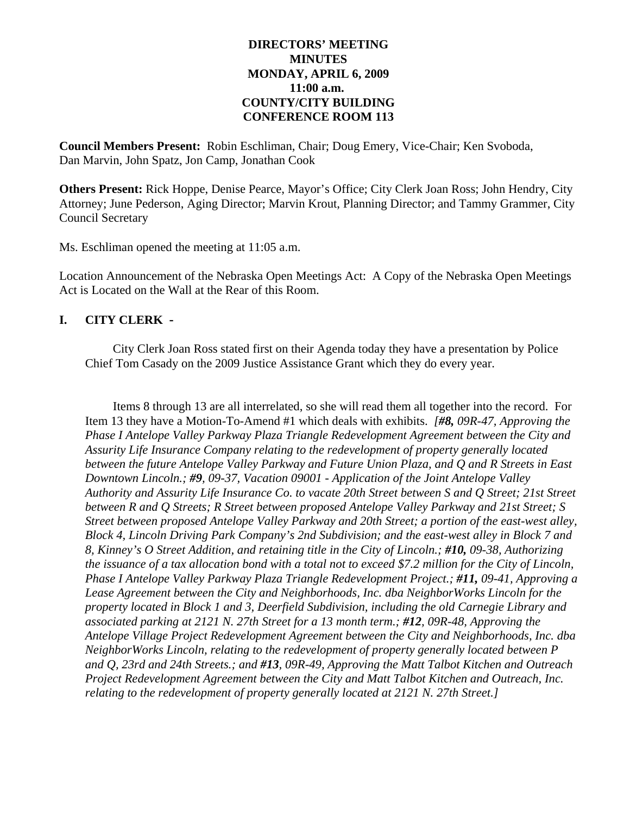#### **DIRECTORS' MEETING MINUTES MONDAY, APRIL 6, 2009 11:00 a.m. COUNTY/CITY BUILDING CONFERENCE ROOM 113**

**Council Members Present:** Robin Eschliman, Chair; Doug Emery, Vice-Chair; Ken Svoboda, Dan Marvin, John Spatz, Jon Camp, Jonathan Cook

**Others Present:** Rick Hoppe, Denise Pearce, Mayor's Office; City Clerk Joan Ross; John Hendry, City Attorney; June Pederson, Aging Director; Marvin Krout, Planning Director; and Tammy Grammer, City Council Secretary

Ms. Eschliman opened the meeting at 11:05 a.m.

Location Announcement of the Nebraska Open Meetings Act: A Copy of the Nebraska Open Meetings Act is Located on the Wall at the Rear of this Room.

## **I. CITY CLERK -**

City Clerk Joan Ross stated first on their Agenda today they have a presentation by Police Chief Tom Casady on the 2009 Justice Assistance Grant which they do every year.

Items 8 through 13 are all interrelated, so she will read them all together into the record. For Item 13 they have a Motion-To-Amend #1 which deals with exhibits. *[#8, 09R-47, Approving the Phase I Antelope Valley Parkway Plaza Triangle Redevelopment Agreement between the City and Assurity Life Insurance Company relating to the redevelopment of property generally located between the future Antelope Valley Parkway and Future Union Plaza, and Q and R Streets in East Downtown Lincoln.; #9, 09-37, Vacation 09001 - Application of the Joint Antelope Valley Authority and Assurity Life Insurance Co. to vacate 20th Street between S and Q Street; 21st Street between R and Q Streets; R Street between proposed Antelope Valley Parkway and 21st Street; S Street between proposed Antelope Valley Parkway and 20th Street; a portion of the east-west alley, Block 4, Lincoln Driving Park Company's 2nd Subdivision; and the east-west alley in Block 7 and 8, Kinney's O Street Addition, and retaining title in the City of Lincoln.; #10, 09-38, Authorizing the issuance of a tax allocation bond with a total not to exceed \$7.2 million for the City of Lincoln, Phase I Antelope Valley Parkway Plaza Triangle Redevelopment Project.; #11, 09-41, Approving a Lease Agreement between the City and Neighborhoods, Inc. dba NeighborWorks Lincoln for the property located in Block 1 and 3, Deerfield Subdivision, including the old Carnegie Library and associated parking at 2121 N. 27th Street for a 13 month term.; #12, 09R-48, Approving the Antelope Village Project Redevelopment Agreement between the City and Neighborhoods, Inc. dba NeighborWorks Lincoln, relating to the redevelopment of property generally located between P and Q, 23rd and 24th Streets.; and #13, 09R-49, Approving the Matt Talbot Kitchen and Outreach Project Redevelopment Agreement between the City and Matt Talbot Kitchen and Outreach, Inc. relating to the redevelopment of property generally located at 2121 N. 27th Street.]*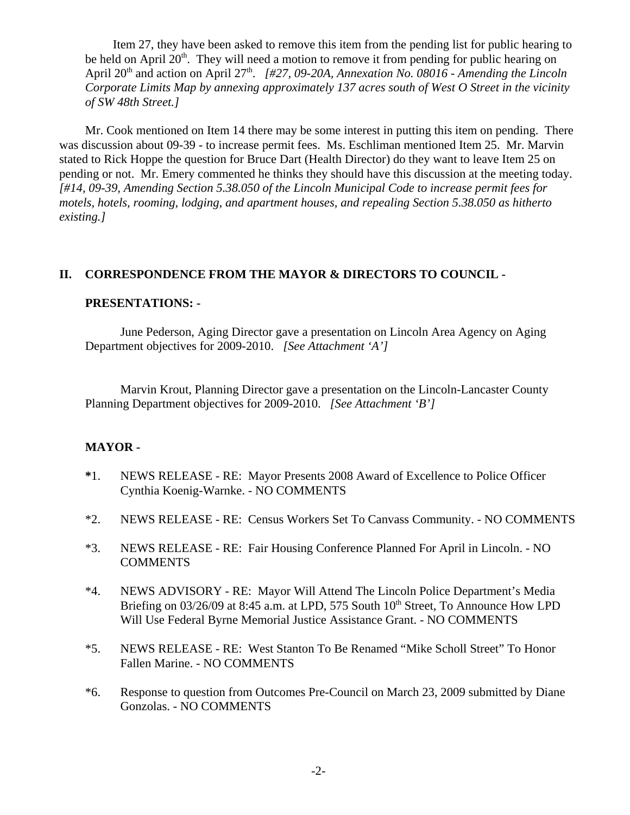Item 27, they have been asked to remove this item from the pending list for public hearing to be held on April  $20<sup>th</sup>$ . They will need a motion to remove it from pending for public hearing on April 20<sup>th</sup> and action on April 27<sup>th</sup>. *[#27, 09-20A, Annexation No. 08016 - Amending the Lincoln Corporate Limits Map by annexing approximately 137 acres south of West O Street in the vicinity of SW 48th Street.]*

Mr. Cook mentioned on Item 14 there may be some interest in putting this item on pending. There was discussion about 09-39 - to increase permit fees. Ms. Eschliman mentioned Item 25. Mr. Marvin stated to Rick Hoppe the question for Bruce Dart (Health Director) do they want to leave Item 25 on pending or not. Mr. Emery commented he thinks they should have this discussion at the meeting today. *[#14, 09-39, Amending Section 5.38.050 of the Lincoln Municipal Code to increase permit fees for motels, hotels, rooming, lodging, and apartment houses, and repealing Section 5.38.050 as hitherto existing.]*

#### **II. CORRESPONDENCE FROM THE MAYOR & DIRECTORS TO COUNCIL -**

#### **PRESENTATIONS: -**

June Pederson, Aging Director gave a presentation on Lincoln Area Agency on Aging Department objectives for 2009-2010. *[See Attachment 'A']* 

Marvin Krout, Planning Director gave a presentation on the Lincoln-Lancaster County Planning Department objectives for 2009-2010. *[See Attachment 'B']* 

#### **MAYOR -**

- **\***1. NEWS RELEASE RE: Mayor Presents 2008 Award of Excellence to Police Officer Cynthia Koenig-Warnke. - NO COMMENTS
- \*2. NEWS RELEASE RE: Census Workers Set To Canvass Community. NO COMMENTS
- \*3. NEWS RELEASE RE: Fair Housing Conference Planned For April in Lincoln. NO **COMMENTS**
- \*4. NEWS ADVISORY RE: Mayor Will Attend The Lincoln Police Department's Media Briefing on  $03/26/09$  at  $8:45$  a.m. at LPD, 575 South  $10<sup>th</sup>$  Street, To Announce How LPD Will Use Federal Byrne Memorial Justice Assistance Grant. - NO COMMENTS
- \*5. NEWS RELEASE RE: West Stanton To Be Renamed "Mike Scholl Street" To Honor Fallen Marine. - NO COMMENTS
- \*6. Response to question from Outcomes Pre-Council on March 23, 2009 submitted by Diane Gonzolas. - NO COMMENTS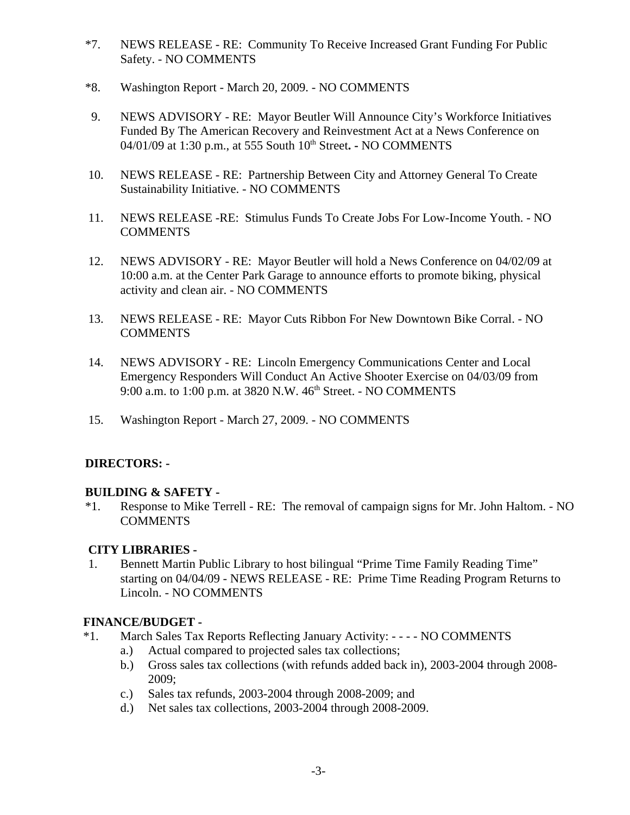- \*7. NEWS RELEASE RE: Community To Receive Increased Grant Funding For Public Safety. - NO COMMENTS
- \*8. Washington Report March 20, 2009. NO COMMENTS
- 9. NEWS ADVISORY RE: Mayor Beutler Will Announce City's Workforce Initiatives Funded By The American Recovery and Reinvestment Act at a News Conference on 04/01/09 at 1:30 p.m., at 555 South 10<sup>th</sup> Street. - NO COMMENTS
- 10. NEWS RELEASE RE: Partnership Between City and Attorney General To Create Sustainability Initiative. - NO COMMENTS
- 11. NEWS RELEASE -RE: Stimulus Funds To Create Jobs For Low-Income Youth. NO **COMMENTS**
- 12. NEWS ADVISORY RE: Mayor Beutler will hold a News Conference on 04/02/09 at 10:00 a.m. at the Center Park Garage to announce efforts to promote biking, physical activity and clean air. - NO COMMENTS
- 13. NEWS RELEASE RE: Mayor Cuts Ribbon For New Downtown Bike Corral. NO **COMMENTS**
- 14. NEWS ADVISORY RE: Lincoln Emergency Communications Center and Local Emergency Responders Will Conduct An Active Shooter Exercise on 04/03/09 from 9:00 a.m. to 1:00 p.m. at 3820 N.W. 46<sup>th</sup> Street. - NO COMMENTS
- 15. Washington Report March 27, 2009. NO COMMENTS

# **DIRECTORS: -**

## **BUILDING & SAFETY -**

\*1. Response to Mike Terrell - RE: The removal of campaign signs for Mr. John Haltom. - NO **COMMENTS** 

## **CITY LIBRARIES -**

 1. Bennett Martin Public Library to host bilingual "Prime Time Family Reading Time" starting on 04/04/09 - NEWS RELEASE - RE: Prime Time Reading Program Returns to Lincoln. - NO COMMENTS

## **FINANCE/BUDGET -**

- \*1. March Sales Tax Reports Reflecting January Activity: - - NO COMMENTS
	- a.) Actual compared to projected sales tax collections;
	- b.) Gross sales tax collections (with refunds added back in), 2003-2004 through 2008- 2009;
	- c.) Sales tax refunds, 2003-2004 through 2008-2009; and
	- d.) Net sales tax collections, 2003-2004 through 2008-2009.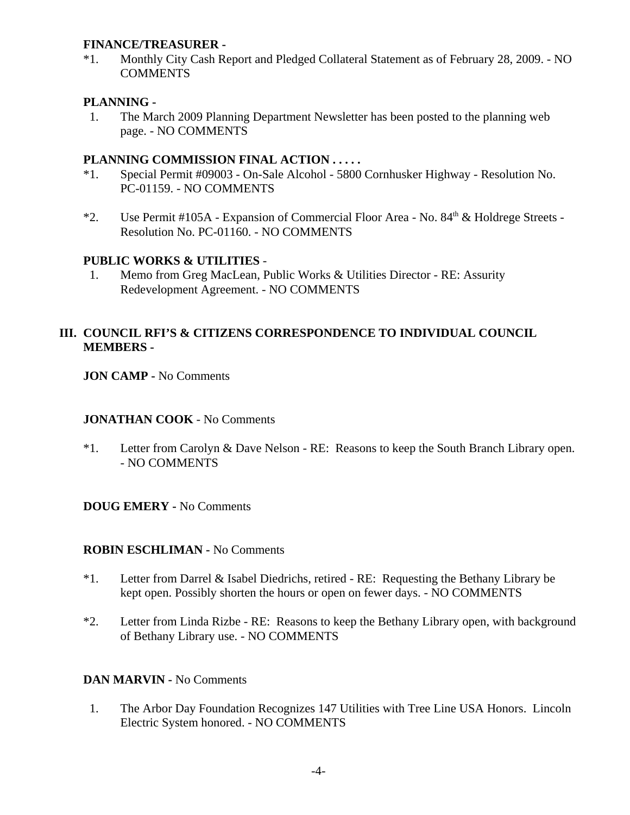#### **FINANCE/TREASURER -**

\*1. Monthly City Cash Report and Pledged Collateral Statement as of February 28, 2009. - NO **COMMENTS** 

#### **PLANNING -**

 1. The March 2009 Planning Department Newsletter has been posted to the planning web page. - NO COMMENTS

#### **PLANNING COMMISSION FINAL ACTION . . . . .**

- \*1. Special Permit #09003 On-Sale Alcohol 5800 Cornhusker Highway Resolution No. PC-01159. - NO COMMENTS
- \*2. Use Permit #105A Expansion of Commercial Floor Area No. 84<sup>th</sup> & Holdrege Streets -Resolution No. PC-01160. - NO COMMENTS

## **PUBLIC WORKS & UTILITIES** -

 1. Memo from Greg MacLean, Public Works & Utilities Director - RE: Assurity Redevelopment Agreement. - NO COMMENTS

## **III. COUNCIL RFI'S & CITIZENS CORRESPONDENCE TO INDIVIDUAL COUNCIL MEMBERS -**

**JON CAMP -** No Comments

#### **JONATHAN COOK** - No Comments

\*1. Letter from Carolyn & Dave Nelson - RE: Reasons to keep the South Branch Library open. - NO COMMENTS

## **DOUG EMERY -** No Comments

#### **ROBIN ESCHLIMAN -** No Comments

- \*1. Letter from Darrel & Isabel Diedrichs, retired RE: Requesting the Bethany Library be kept open. Possibly shorten the hours or open on fewer days. - NO COMMENTS
- \*2. Letter from Linda Rizbe RE: Reasons to keep the Bethany Library open, with background of Bethany Library use. - NO COMMENTS

## **DAN MARVIN -** No Comments

 1. The Arbor Day Foundation Recognizes 147 Utilities with Tree Line USA Honors. Lincoln Electric System honored. - NO COMMENTS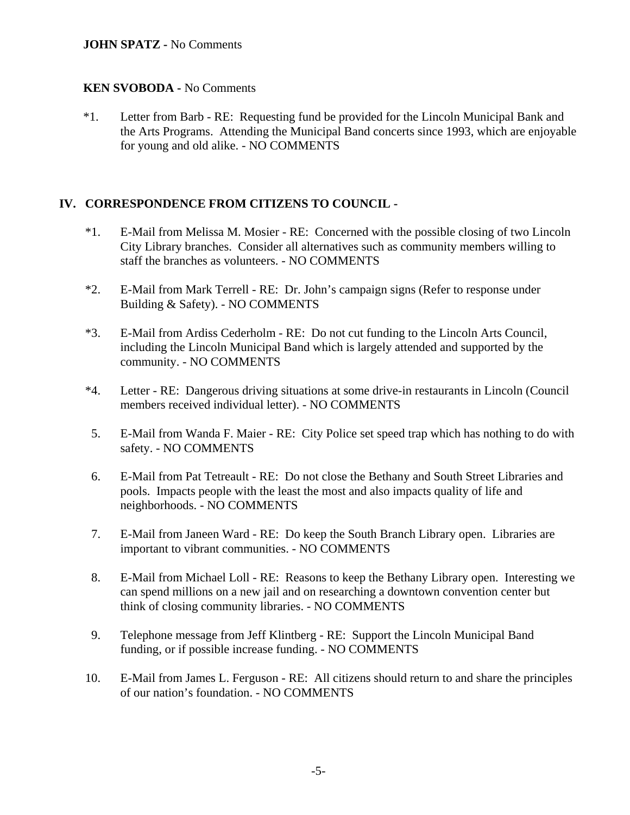#### **JOHN SPATZ -** No Comments

#### **KEN SVOBODA -** No Comments

\*1. Letter from Barb - RE: Requesting fund be provided for the Lincoln Municipal Bank and the Arts Programs. Attending the Municipal Band concerts since 1993, which are enjoyable for young and old alike. - NO COMMENTS

# **IV. CORRESPONDENCE FROM CITIZENS TO COUNCIL -**

- \*1. E-Mail from Melissa M. Mosier RE: Concerned with the possible closing of two Lincoln City Library branches. Consider all alternatives such as community members willing to staff the branches as volunteers. - NO COMMENTS
- \*2. E-Mail from Mark Terrell RE: Dr. John's campaign signs (Refer to response under Building & Safety). - NO COMMENTS
- \*3. E-Mail from Ardiss Cederholm RE: Do not cut funding to the Lincoln Arts Council, including the Lincoln Municipal Band which is largely attended and supported by the community. - NO COMMENTS
- \*4. Letter RE: Dangerous driving situations at some drive-in restaurants in Lincoln (Council members received individual letter). - NO COMMENTS
- 5. E-Mail from Wanda F. Maier RE: City Police set speed trap which has nothing to do with safety. - NO COMMENTS
- 6. E-Mail from Pat Tetreault RE: Do not close the Bethany and South Street Libraries and pools. Impacts people with the least the most and also impacts quality of life and neighborhoods. - NO COMMENTS
- 7. E-Mail from Janeen Ward RE: Do keep the South Branch Library open. Libraries are important to vibrant communities. - NO COMMENTS
- 8. E-Mail from Michael Loll RE: Reasons to keep the Bethany Library open. Interesting we can spend millions on a new jail and on researching a downtown convention center but think of closing community libraries. - NO COMMENTS
- 9. Telephone message from Jeff Klintberg RE: Support the Lincoln Municipal Band funding, or if possible increase funding. - NO COMMENTS
- 10. E-Mail from James L. Ferguson RE: All citizens should return to and share the principles of our nation's foundation. - NO COMMENTS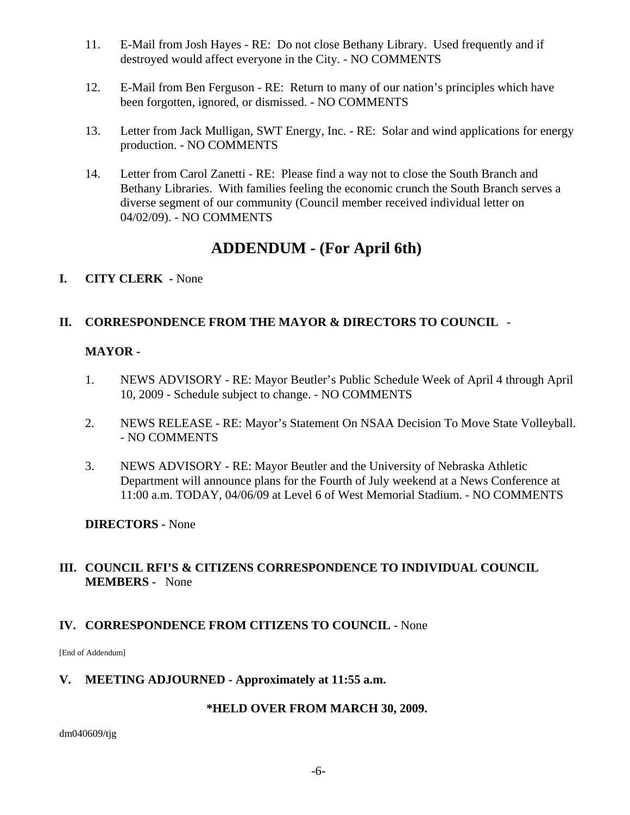- 11. E-Mail from Josh Hayes RE: Do not close Bethany Library. Used frequently and if destroyed would affect everyone in the City. - NO COMMENTS
- 12. E-Mail from Ben Ferguson RE: Return to many of our nation's principles which have been forgotten, ignored, or dismissed. - NO COMMENTS
- 13. Letter from Jack Mulligan, SWT Energy, Inc. RE: Solar and wind applications for energy production. - NO COMMENTS
- 14. Letter from Carol Zanetti RE: Please find a way not to close the South Branch and Bethany Libraries. With families feeling the economic crunch the South Branch serves a diverse segment of our community (Council member received individual letter on 04/02/09). - NO COMMENTS

# **ADDENDUM - (For April 6th)**

**I. CITY CLERK -** None

# **II. CORRESPONDENCE FROM THE MAYOR & DIRECTORS TO COUNCIL** -

# **MAYOR -**

- 1. NEWS ADVISORY RE: Mayor Beutler's Public Schedule Week of April 4 through April 10, 2009 - Schedule subject to change. - NO COMMENTS
- 2. NEWS RELEASE RE: Mayor's Statement On NSAA Decision To Move State Volleyball. - NO COMMENTS
- 3. NEWS ADVISORY RE: Mayor Beutler and the University of Nebraska Athletic Department will announce plans for the Fourth of July weekend at a News Conference at 11:00 a.m. TODAY, 04/06/09 at Level 6 of West Memorial Stadium. - NO COMMENTS

## **DIRECTORS -** None

# **III. COUNCIL RFI'S & CITIZENS CORRESPONDENCE TO INDIVIDUAL COUNCIL MEMBERS -** None

# **IV. CORRESPONDENCE FROM CITIZENS TO COUNCIL -** None

[End of Addendum]

## **V. MEETING ADJOURNED - Approximately at 11:55 a.m.**

# **\*HELD OVER FROM MARCH 30, 2009.**

dm040609/tjg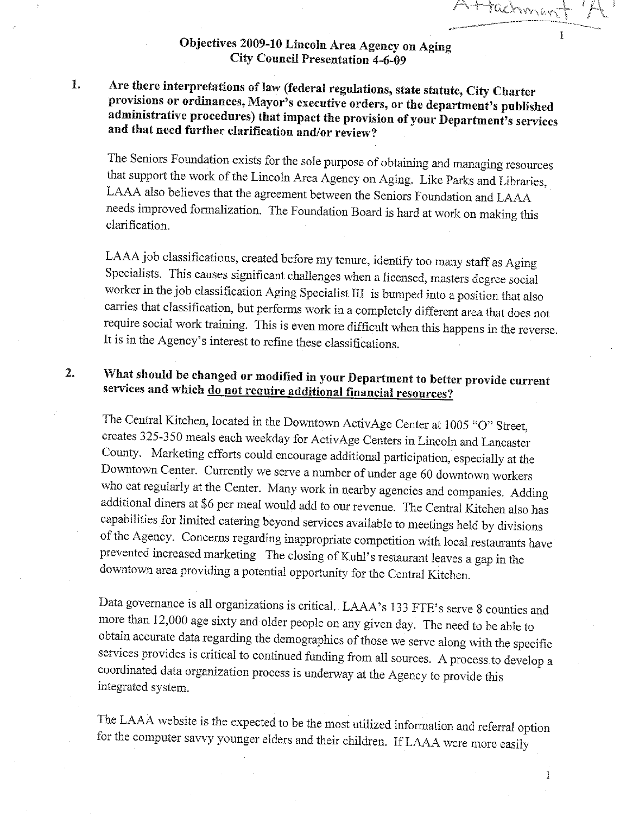Attachmer

# Objectives 2009-10 Lincoln Area Agency on Aging **City Council Presentation 4-6-09**

Are there interpretations of law (federal regulations, state statute, City Charter 1. provisions or ordinances, Mayor's executive orders, or the department's published administrative procedures) that impact the provision of your Department's services and that need further clarification and/or review?

The Seniors Foundation exists for the sole purpose of obtaining and managing resources that support the work of the Lincoln Area Agency on Aging. Like Parks and Libraries, LAAA also believes that the agreement between the Seniors Foundation and LAAA needs improved formalization. The Foundation Board is hard at work on making this clarification.

LAAA job classifications, created before my tenure, identify too many staff as Aging Specialists. This causes significant challenges when a licensed, masters degree social worker in the job classification Aging Specialist III is bumped into a position that also carries that classification, but performs work in a completely different area that does not require social work training. This is even more difficult when this happens in the reverse. It is in the Agency's interest to refine these classifications.

#### What should be changed or modified in your Department to better provide current  $\overline{2}$ . services and which do not require additional financial resources?

The Central Kitchen, located in the Downtown ActivAge Center at 1005 "O" Street, creates 325-350 meals each weekday for ActivAge Centers in Lincoln and Lancaster County. Marketing efforts could encourage additional participation, especially at the Downtown Center. Currently we serve a number of under age 60 downtown workers who eat regularly at the Center. Many work in nearby agencies and companies. Adding additional diners at \$6 per meal would add to our revenue. The Central Kitchen also has capabilities for limited catering beyond services available to meetings held by divisions of the Agency. Concerns regarding inappropriate competition with local restaurants have prevented increased marketing The closing of Kuhl's restaurant leaves a gap in the downtown area providing a potential opportunity for the Central Kitchen.

Data governance is all organizations is critical. LAAA's 133 FTE's serve 8 counties and more than 12,000 age sixty and older people on any given day. The need to be able to obtain accurate data regarding the demographics of those we serve along with the specific services provides is critical to continued funding from all sources. A process to develop a coordinated data organization process is underway at the Agency to provide this integrated system.

The LAAA website is the expected to be the most utilized information and referral option for the computer savvy younger elders and their children. If LAAA were more easily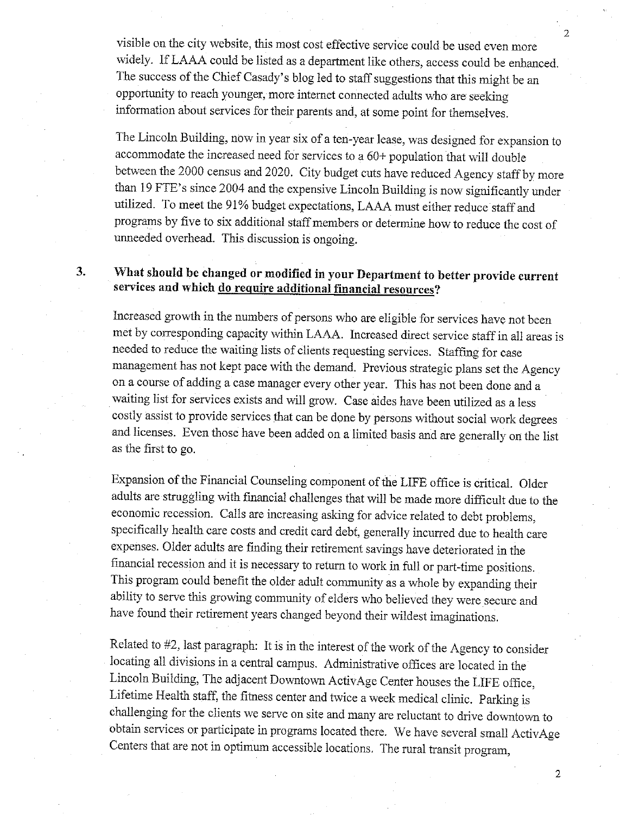visible on the city website, this most cost effective service could be used even more widely. If LAAA could be listed as a department like others, access could be enhanced. The success of the Chief Casady's blog led to staff suggestions that this might be an opportunity to reach younger, more internet connected adults who are seeking information about services for their parents and, at some point for themselves.

The Lincoln Building, now in year six of a ten-year lease, was designed for expansion to accommodate the increased need for services to a 60+ population that will double between the 2000 census and 2020. City budget cuts have reduced Agency staff by more than 19 FTE's since 2004 and the expensive Lincoln Building is now significantly under utilized. To meet the 91% budget expectations, LAAA must either reduce staff and programs by five to six additional staff members or determine how to reduce the cost of unneeded overhead. This discussion is ongoing.

# What should be changed or modified in your Department to better provide current services and which do require additional financial resources?

 $3.$ 

Increased growth in the numbers of persons who are eligible for services have not been met by corresponding capacity within LAAA. Increased direct service staff in all areas is needed to reduce the waiting lists of clients requesting services. Staffing for case management has not kept pace with the demand. Previous strategic plans set the Agency on a course of adding a case manager every other year. This has not been done and a waiting list for services exists and will grow. Case aides have been utilized as a less costly assist to provide services that can be done by persons without social work degrees and licenses. Even those have been added on a limited basis and are generally on the list as the first to go.

Expansion of the Financial Counseling component of the LIFE office is critical. Older adults are struggling with financial challenges that will be made more difficult due to the economic recession. Calls are increasing asking for advice related to debt problems, specifically health care costs and credit card debt, generally incurred due to health care expenses. Older adults are finding their retirement savings have deteriorated in the financial recession and it is necessary to return to work in full or part-time positions. This program could benefit the older adult community as a whole by expanding their ability to serve this growing community of elders who believed they were secure and have found their retirement years changed beyond their wildest imaginations.

Related to #2, last paragraph: It is in the interest of the work of the Agency to consider locating all divisions in a central campus. Administrative offices are located in the Lincoln Building, The adjacent Downtown ActivAge Center houses the LIFE office, Lifetime Health staff, the fitness center and twice a week medical clinic. Parking is challenging for the clients we serve on site and many are reluctant to drive downtown to obtain services or participate in programs located there. We have several small ActivAge Centers that are not in optimum accessible locations. The rural transit program,

 $\overline{c}$ 

 $\overline{2}$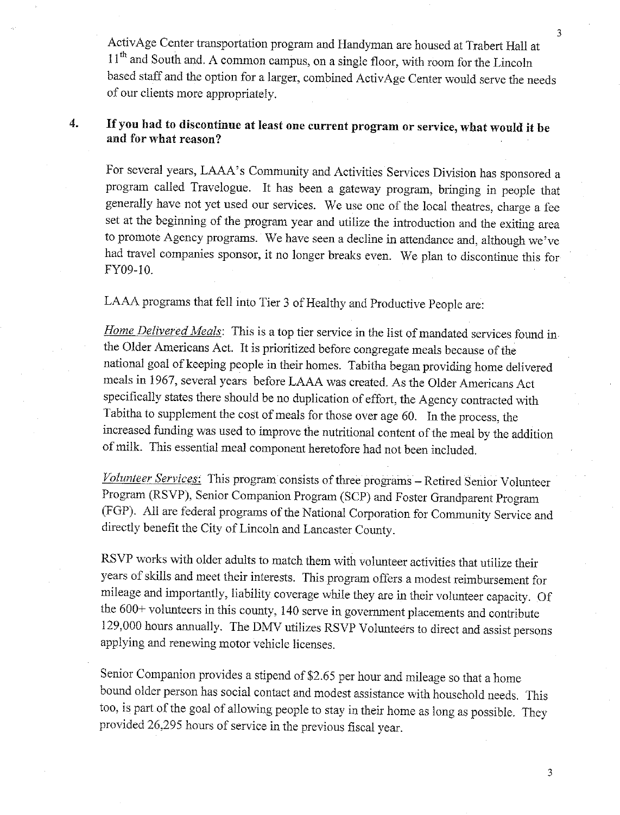ActivAge Center transportation program and Handyman are housed at Trabert Hall at 11<sup>th</sup> and South and. A common campus, on a single floor, with room for the Lincoln based staff and the option for a larger, combined ActivAge Center would serve the needs of our clients more appropriately.

#### If you had to discontinue at least one current program or service, what would it be 4. and for what reason?

For several years, LAAA's Community and Activities Services Division has sponsored a program called Travelogue. It has been a gateway program, bringing in people that generally have not yet used our services. We use one of the local theatres, charge a fee set at the beginning of the program year and utilize the introduction and the exiting area to promote Agency programs. We have seen a decline in attendance and, although we've had travel companies sponsor, it no longer breaks even. We plan to discontinue this for FY09-10.

LAAA programs that fell into Tier 3 of Healthy and Productive People are:

Home Delivered Meals: This is a top tier service in the list of mandated services found in the Older Americans Act. It is prioritized before congregate meals because of the national goal of keeping people in their homes. Tabitha began providing home delivered meals in 1967, several years before LAAA was created. As the Older Americans Act specifically states there should be no duplication of effort, the Agency contracted with Tabitha to supplement the cost of meals for those over age 60. In the process, the increased funding was used to improve the nutritional content of the meal by the addition of milk. This essential meal component heretofore had not been included.

Volunteer Services: This program consists of three programs - Retired Senior Volunteer Program (RSVP), Senior Companion Program (SCP) and Foster Grandparent Program (FGP). All are federal programs of the National Corporation for Community Service and directly benefit the City of Lincoln and Lancaster County.

RSVP works with older adults to match them with volunteer activities that utilize their years of skills and meet their interests. This program offers a modest reimbursement for mileage and importantly, liability coverage while they are in their volunteer capacity. Of the 600+ volunteers in this county, 140 serve in government placements and contribute 129,000 hours annually. The DMV utilizes RSVP Volunteers to direct and assist persons applying and renewing motor vehicle licenses.

Senior Companion provides a stipend of \$2.65 per hour and mileage so that a home bound older person has social contact and modest assistance with household needs. This too, is part of the goal of allowing people to stay in their home as long as possible. They provided 26,295 hours of service in the previous fiscal year.

 $\overline{3}$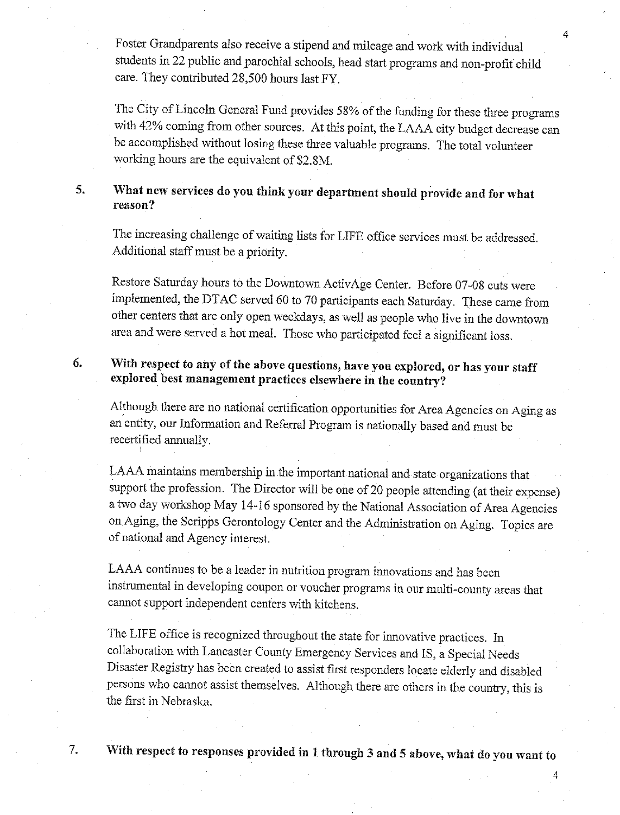Foster Grandparents also receive a stipend and mileage and work with individual students in 22 public and parochial schools, head start programs and non-profit child care. They contributed 28,500 hours last FY.

The City of Lincoln General Fund provides 58% of the funding for these three programs with 42% coming from other sources. At this point, the LAAA city budget decrease can be accomplished without losing these three valuable programs. The total volunteer working hours are the equivalent of \$2.8M.

#### What new services do you think your department should provide and for what  $5.$ reason?

The increasing challenge of waiting lists for LIFE office services must be addressed. Additional staff must be a priority.

Restore Saturday hours to the Downtown ActivAge Center. Before 07-08 cuts were implemented, the DTAC served 60 to 70 participants each Saturday. These came from other centers that are only open weekdays, as well as people who live in the downtown area and were served a hot meal. Those who participated feel a significant loss.

#### With respect to any of the above questions, have you explored, or has your staff 6. explored best management practices elsewhere in the country?

Although there are no national certification opportunities for Area Agencies on Aging as an entity, our Information and Referral Program is nationally based and must be recertified annually.

LAAA maintains membership in the important national and state organizations that support the profession. The Director will be one of 20 people attending (at their expense) a two day workshop May 14-16 sponsored by the National Association of Area Agencies on Aging, the Scripps Gerontology Center and the Administration on Aging. Topics are of national and Agency interest.

LAAA continues to be a leader in nutrition program innovations and has been instrumental in developing coupon or voucher programs in our multi-county areas that cannot support independent centers with kitchens.

The LIFE office is recognized throughout the state for innovative practices. In collaboration with Lancaster County Emergency Services and IS, a Special Needs Disaster Registry has been created to assist first responders locate elderly and disabled persons who cannot assist themselves. Although there are others in the country, this is the first in Nebraska.

7.

With respect to responses provided in 1 through 3 and 5 above, what do you want to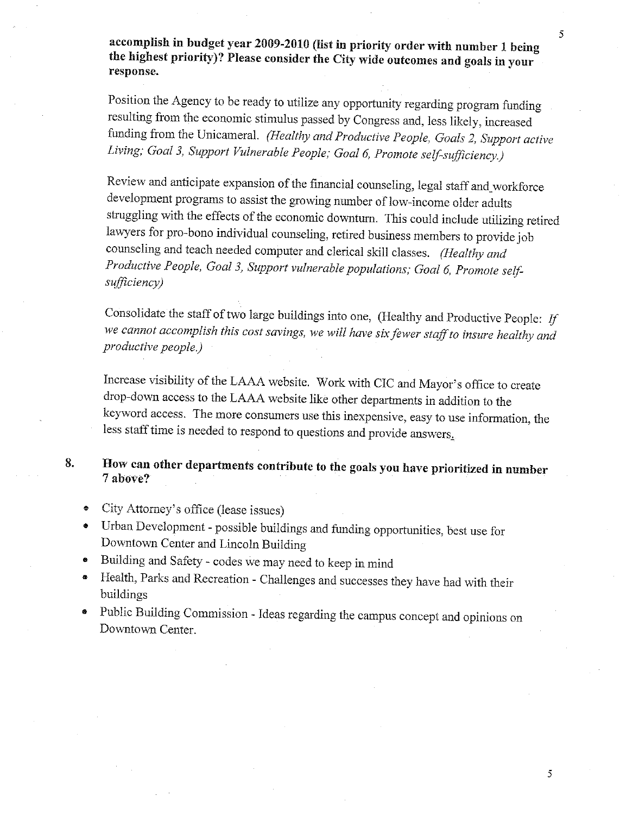accomplish in budget year 2009-2010 (list in priority order with number 1 being the highest priority)? Please consider the City wide outcomes and goals in your response.

Position the Agency to be ready to utilize any opportunity regarding program funding resulting from the economic stimulus passed by Congress and, less likely, increased funding from the Unicameral. (Healthy and Productive People, Goals 2, Support active Living; Goal 3, Support Vulnerable People; Goal 6, Promote self-sufficiency.)

Review and anticipate expansion of the financial counseling, legal staff and workforce development programs to assist the growing number of low-income older adults struggling with the effects of the economic downturn. This could include utilizing retired lawyers for pro-bono individual counseling, retired business members to provide job counseling and teach needed computer and clerical skill classes. (Healthy and Productive People, Goal 3, Support vulnerable populations; Goal 6, Promote selfsufficiency)

Consolidate the staff of two large buildings into one, (Healthy and Productive People: If we cannot accomplish this cost savings, we will have six fewer staff to insure healthy and productive people.)

Increase visibility of the LAAA website. Work with CIC and Mayor's office to create drop-down access to the LAAA website like other departments in addition to the keyword access. The more consumers use this inexpensive, easy to use information, the less staff time is needed to respond to questions and provide answers.

8. How can other departments contribute to the goals you have prioritized in number 7 above?

- City Attorney's office (lease issues)  $\bullet$
- Urban Development possible buildings and funding opportunities, best use for Downtown Center and Lincoln Building
- Building and Safety codes we may need to keep in mind
- Health, Parks and Recreation Challenges and successes they have had with their buildings
- Public Building Commission Ideas regarding the campus concept and opinions on Downtown Center.

 $\overline{5}$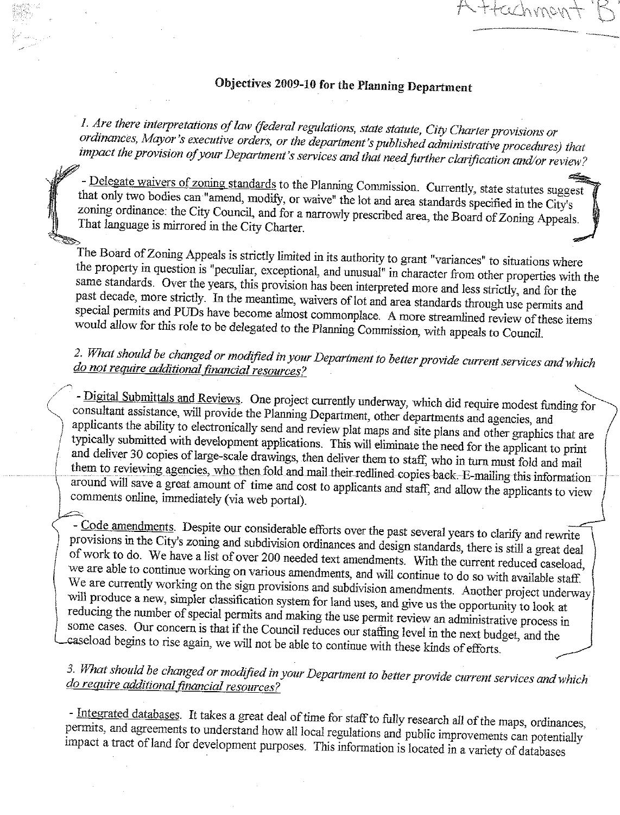# Objectives 2009-10 for the Planning Department

1. Are there interpretations of law (federal regulations, state statute, City Charter provisions or ordinances, Mayor's executive orders, or the department's published administrative procedures) that impact the provision of your Department's services and that need further clarification and/or review?

- Delegate waivers of zoning standards to the Planning Commission. Currently, state statutes suggest that only two bodies can "amend, modify, or waive" the lot and area standards specified in the City's zoning ordinance: the City Council, and for a narrowly prescribed area, the Board of Zoning Appeals. That language is mirrored in the City Charter.

The Board of Zoning Appeals is strictly limited in its authority to grant "variances" to situations where the property in question is "peculiar, exceptional, and unusual" in character from other properties with the same standards. Over the years, this provision has been interpreted more and less strictly, and for the past decade, more strictly. In the meantime, waivers of lot and area standards through use permits and special permits and PUDs have become almost commonplace. A more streamlined review of these items would allow for this role to be delegated to the Planning Commission, with appeals to Council.

# 2. What should be changed or modified in your Department to better provide current services and which do not require additional financial resources?

- Digital Submittals and Reviews. One project currently underway, which did require modest funding for consultant assistance, will provide the Planning Department, other departments and agencies, and applicants the ability to electronically send and review plat maps and site plans and other graphics that are typically submitted with development applications. This will eliminate the need for the applicant to print and deliver 30 copies of large-scale drawings, then deliver them to staff, who in turn must fold and mail them to reviewing agencies, who then fold and mail their redlined copies back. E-mailing this information around will save a great amount of time and cost to applicants and staff, and allow the applicants to view comments online, immediately (via web portal).

- Code amendments. Despite our considerable efforts over the past several years to clarify and rewrite provisions in the City's zoning and subdivision ordinances and design standards, there is still a great deal of work to do. We have a list of over 200 needed text amendments. With the current reduced caseload, we are able to continue working on various amendments, and will continue to do so with available staff. We are currently working on the sign provisions and subdivision amendments. Another project underway will produce a new, simpler classification system for land uses, and give us the opportunity to look at reducing the number of special permits and making the use permit review an administrative process in some cases. Our concern is that if the Council reduces our staffing level in the next budget, and the caseload begins to rise again, we will not be able to continue with these kinds of efforts.

# 3. What should be changed or modified in your Department to better provide current services and which do require additional financial resources?

- Integrated databases. It takes a great deal of time for staff to fully research all of the maps, ordinances, permits, and agreements to understand how all local regulations and public improvements can potentially impact a tract of land for development purposes. This information is located in a variety of databases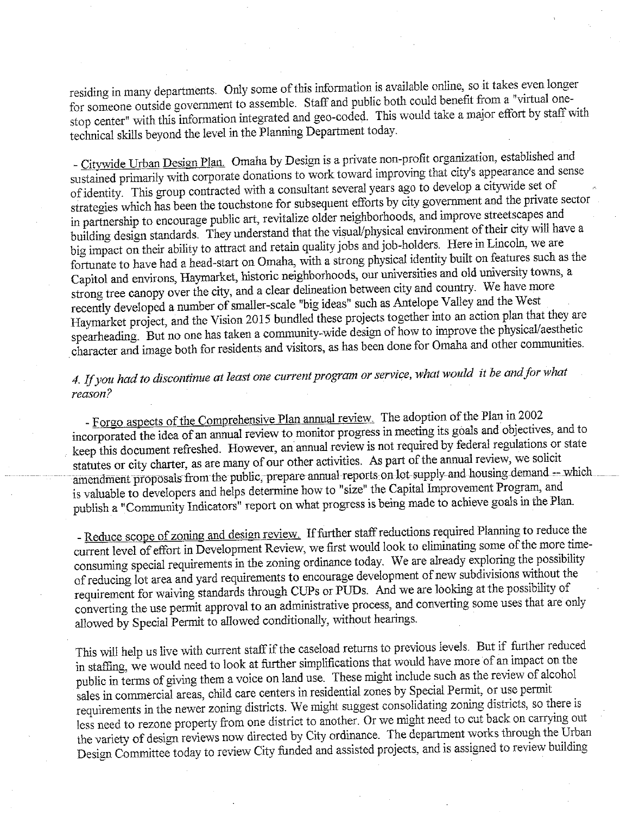residing in many departments. Only some of this information is available online, so it takes even longer for someone outside government to assemble. Staff and public both could benefit from a "virtual onestop center" with this information integrated and geo-coded. This would take a major effort by staff with technical skills beyond the level in the Planning Department today.

- Citywide Urban Design Plan. Omaha by Design is a private non-profit organization, established and sustained primarily with corporate donations to work toward improving that city's appearance and sense of identity. This group contracted with a consultant several years ago to develop a citywide set of strategies which has been the touchstone for subsequent efforts by city government and the private sector in partnership to encourage public art, revitalize older neighborhoods, and improve streetscapes and building design standards. They understand that the visual/physical environment of their city will have a big impact on their ability to attract and retain quality jobs and job-holders. Here in Lincoln, we are fortunate to have had a head-start on Omaha, with a strong physical identity built on features such as the Capitol and environs, Haymarket, historic neighborhoods, our universities and old university towns, a strong tree canopy over the city, and a clear delineation between city and country. We have more recently developed a number of smaller-scale "big ideas" such as Antelope Valley and the West Haymarket project, and the Vision 2015 bundled these projects together into an action plan that they are spearheading. But no one has taken a community-wide design of how to improve the physical/aesthetic character and image both for residents and visitors, as has been done for Omaha and other communities.

# 4. If you had to discontinue at least one current program or service, what would it be and for what reason?

- Forgo aspects of the Comprehensive Plan annual review. The adoption of the Plan in 2002 incorporated the idea of an annual review to monitor progress in meeting its goals and objectives, and to keep this document refreshed. However, an annual review is not required by federal regulations or state statutes or city charter, as are many of our other activities. As part of the annual review, we solicit amendment proposals from the public, prepare annual reports on lot supply and housing demand - which is valuable to developers and helps determine how to "size" the Capital Improvement Program, and publish a "Community Indicators" report on what progress is being made to achieve goals in the Plan.

- Reduce scope of zoning and design review. If further staff reductions required Planning to reduce the current level of effort in Development Review, we first would look to eliminating some of the more timeconsuming special requirements in the zoning ordinance today. We are already exploring the possibility of reducing lot area and yard requirements to encourage development of new subdivisions without the requirement for waiving standards through CUPs or PUDs. And we are looking at the possibility of converting the use permit approval to an administrative process, and converting some uses that are only allowed by Special Permit to allowed conditionally, without hearings.

This will help us live with current staff if the caseload returns to previous levels. But if further reduced in staffing, we would need to look at further simplifications that would have more of an impact on the public in terms of giving them a voice on land use. These might include such as the review of alcohol sales in commercial areas, child care centers in residential zones by Special Permit, or use permit requirements in the newer zoning districts. We might suggest consolidating zoning districts, so there is less need to rezone property from one district to another. Or we might need to cut back on carrying out the variety of design reviews now directed by City ordinance. The department works through the Urban Design Committee today to review City funded and assisted projects, and is assigned to review building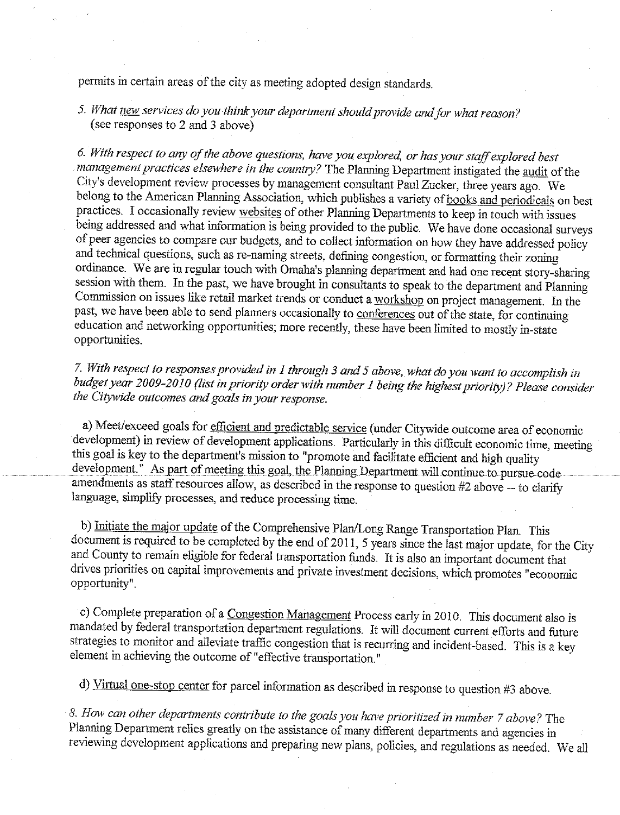permits in certain areas of the city as meeting adopted design standards.

5. What new services do you think your department should provide and for what reason? (see responses to 2 and 3 above)

6. With respect to any of the above questions, have you explored, or has your staff explored best management practices elsewhere in the country? The Planning Department instigated the audit of the City's development review processes by management consultant Paul Zucker, three years ago. We belong to the American Planning Association, which publishes a variety of books and periodicals on best practices. I occasionally review websites of other Planning Departments to keep in touch with issues being addressed and what information is being provided to the public. We have done occasional surveys of peer agencies to compare our budgets, and to collect information on how they have addressed policy and technical questions, such as re-naming streets, defining congestion, or formatting their zoning ordinance. We are in regular touch with Omaha's planning department and had one recent story-sharing session with them. In the past, we have brought in consultants to speak to the department and Planning Commission on issues like retail market trends or conduct a workshop on project management. In the past, we have been able to send planners occasionally to conferences out of the state, for continuing education and networking opportunities; more recently, these have been limited to mostly in-state opportunities.

7. With respect to responses provided in 1 through 3 and 5 above, what do you want to accomplish in budget year 2009-2010 (list in priority order with number 1 being the highest priority)? Please consider the Citywide outcomes and goals in your response.

a) Meet/exceed goals for efficient and predictable service (under Citywide outcome area of economic development) in review of development applications. Particularly in this difficult economic time, meeting this goal is key to the department's mission to "promote and facilitate efficient and high quality development." As part of meeting this goal, the Planning Department will continue to pursue code amendments as staff resources allow, as described in the response to question #2 above -- to clarify language, simplify processes, and reduce processing time.

b) Initiate the major update of the Comprehensive Plan/Long Range Transportation Plan. This document is required to be completed by the end of 2011, 5 years since the last major update, for the City and County to remain eligible for federal transportation funds. It is also an important document that drives priorities on capital improvements and private investment decisions, which promotes "economic opportunity<sup>"</sup>.

c) Complete preparation of a Congestion Management Process early in 2010. This document also is mandated by federal transportation department regulations. It will document current efforts and future strategies to monitor and alleviate traffic congestion that is recurring and incident-based. This is a key element in achieving the outcome of "effective transportation."

d) Virtual one-stop center for parcel information as described in response to question #3 above.

8. How can other departments contribute to the goals you have prioritized in number 7 above? The Planning Department relies greatly on the assistance of many different departments and agencies in reviewing development applications and preparing new plans, policies, and regulations as needed. We all